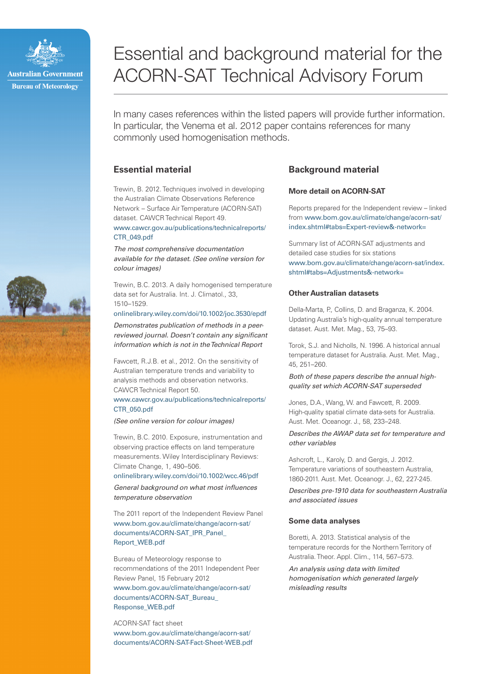

# Essential and background material for the ACORN-SAT Technical Advisory Forum

In many cases references within the listed papers will provide further information. In particular, the Venema et al. 2012 paper contains references for many commonly used homogenisation methods.

# **Essential material**

[CTR\\_049.pdf](http://www.cawcr.gov.au/publications/technicalreports/CTR_049.pdf ) 

Trewin, B. 2012. Techniques involved in developing the Australian Climate Observations Reference Network – Surface Air Temperature (ACORN-SAT) dataset. CAWCR Technical Report 49. [www.cawcr.gov.au/publications/technicalreports/](http://www.cawcr.gov.au/publications/technicalreports/CTR_049.pdf )

The most comprehensive documentation available for the dataset. (See online version for colour images)

Trewin, B.C. 2013. A daily homogenised temperature data set for Australia. Int. J. Climatol., 33, 1510–1529.

#### [onlinelibrary.wiley.com/doi/10.1002/joc.3530/epdf](http://onlinelibrary.wiley.com/doi/10.1002/joc.3530/epdf )

Demonstrates publication of methods in a peerreviewed journal. Doesn't contain any significant information which is not in the Technical Report

Fawcett, R.J.B. et al., 2012. On the sensitivity of Australian temperature trends and variability to analysis methods and observation networks. CAWCR Technical Report 50.

#### [www.cawcr.gov.au/publications/technicalreports/](http://www.cawcr.gov.au/publications/technicalreports/CTR_050.pdf ) [CTR\\_050.pdf](http://www.cawcr.gov.au/publications/technicalreports/CTR_050.pdf )

(See online version for colour images)

Trewin, B.C. 2010. Exposure, instrumentation and observing practice effects on land temperature measurements. Wiley Interdisciplinary Reviews: Climate Change, 1, 490–506.

[onlinelibrary.wiley.com/doi/10.1002/wcc.46/pdf](http://onlinelibrary.wiley.com/doi/10.1002/wcc.46/pdf ) 

General background on what most influences temperature observation

The 2011 report of the Independent Review Panel [www.bom.gov.au/climate/change/acorn-sat/](http://www.bom.gov.au/climate/change/acorn-sat/documents/ACORN-SAT_IPR_Panel_Report_WEB.pdf) documents/ACORN-SAT\_IPR\_Panel [Report\\_WEB.pdf](http://www.bom.gov.au/climate/change/acorn-sat/documents/ACORN-SAT_IPR_Panel_Report_WEB.pdf)

Bureau of Meteorology response to recommendations of the 2011 Independent Peer Review Panel, 15 February 2012

[www.bom.gov.au/climate/change/acorn-sat/](http://www.bom.gov.au/climate/change/acorn-sat/documents/ACORN-SAT_Bureau_Response_WEB.pdf) [documents/ACORN-SAT\\_Bureau\\_](http://www.bom.gov.au/climate/change/acorn-sat/documents/ACORN-SAT_Bureau_Response_WEB.pdf) [Response\\_WEB.pdf](http://www.bom.gov.au/climate/change/acorn-sat/documents/ACORN-SAT_Bureau_Response_WEB.pdf)

ACORN-SAT fact sheet [www.bom.gov.au/climate/change/acorn-sat/](http://www.bom.gov.au/climate/change/acorn-sat/documents/ACORN-SAT-Fact-Sheet-WEB.pdf) [documents/ACORN-SAT-Fact-Sheet-WEB.pdf](http://www.bom.gov.au/climate/change/acorn-sat/documents/ACORN-SAT-Fact-Sheet-WEB.pdf)

# **Background material**

#### **More detail on ACORN-SAT**

Reports prepared for the Independent review – linked from [www.bom.gov.au/climate/change/acorn-sat/](http://www.bom.gov.au/climate/change/acorn-sat/index.shtml#tabs=Expert-review&-network=) [index.shtml#tabs=Expert-review&-network=](http://www.bom.gov.au/climate/change/acorn-sat/index.shtml#tabs=Expert-review&-network=)

Summary list of ACORN-SAT adjustments and detailed case studies for six stations [www.bom.gov.au/climate/change/acorn-sat/index.](http://www.bom.gov.au/climate/change/acorn-sat/index.shtml#tabs=Adjustments&-network= ) [shtml#tabs=Adjustments&-network=](http://www.bom.gov.au/climate/change/acorn-sat/index.shtml#tabs=Adjustments&-network= ) 

# **Other Australian datasets**

Della-Marta, P., Collins, D. and Braganza, K. 2004. Updating Australia's high-quality annual temperature dataset. Aust. Met. Mag., 53, 75–93.

Torok, S.J. and Nicholls, N. 1996. A historical annual temperature dataset for Australia. Aust. Met. Mag., 45, 251–260.

Both of these papers describe the annual highquality set which ACORN-SAT superseded

Jones, D.A., Wang, W. and Fawcett, R. 2009. High-quality spatial climate data-sets for Australia. Aust. Met. Oceanogr. J., 58, 233–248.

## Describes the AWAP data set for temperature and other variables

Ashcroft, L., Karoly, D. and Gergis, J. 2012. Temperature variations of southeastern Australia, 1860-2011. Aust. Met. Oceanogr. J., 62, 227-245.

Describes pre-1910 data for southeastern Australia and associated issues

#### **Some data analyses**

Boretti, A. 2013. Statistical analysis of the temperature records for the Northern Territory of Australia. Theor. Appl. Clim., 114, 567–573.

An analysis using data with limited homogenisation which generated largely misleading results